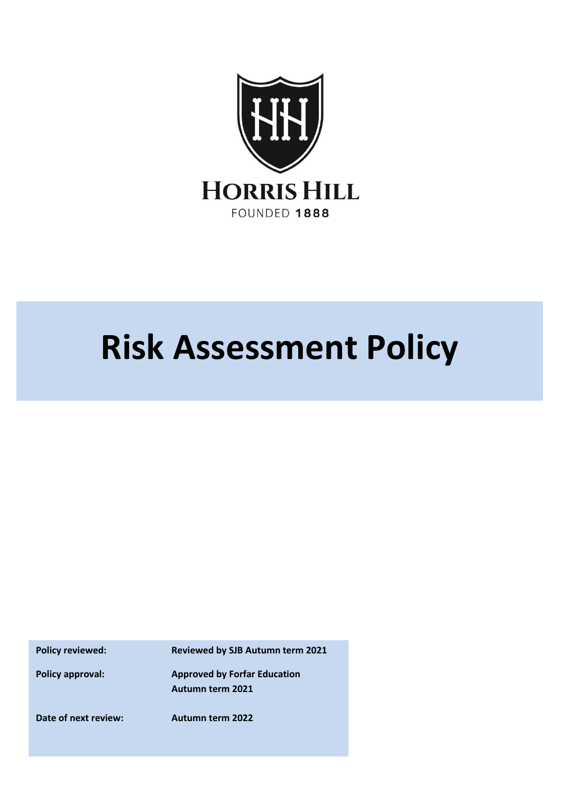

# **Risk Assessment Policy**

**Policy reviewed: Reviewed by SJB Autumn term 2021**

**Policy approval: Approved by Forfar Education Autumn term 2021**

**Date of next review: Autumn term 2022**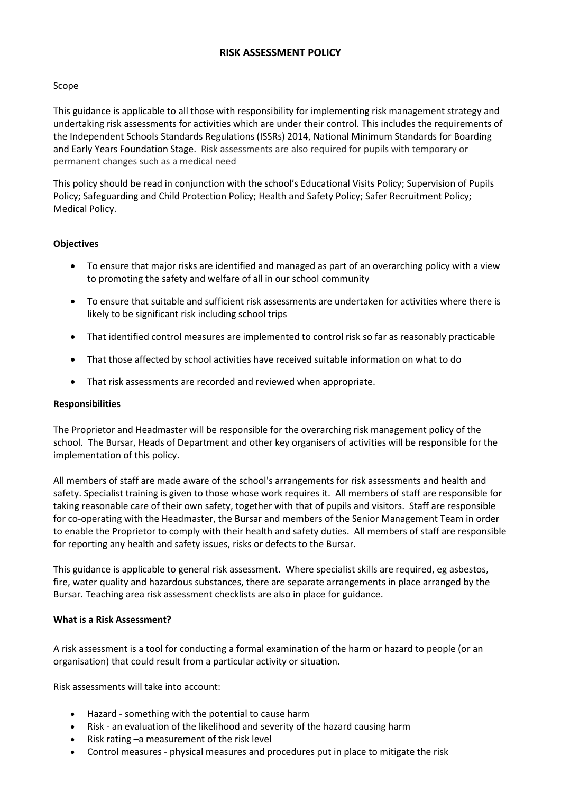# **RISK ASSESSMENT POLICY**

## Scope

This guidance is applicable to all those with responsibility for implementing risk management strategy and undertaking risk assessments for activities which are under their control. This includes the requirements of the Independent Schools Standards Regulations (ISSRs) 2014, National Minimum Standards for Boarding and Early Years Foundation Stage. Risk assessments are also required for pupils with temporary or permanent changes such as a medical need

This policy should be read in conjunction with the school's Educational Visits Policy; Supervision of Pupils Policy; Safeguarding and Child Protection Policy; Health and Safety Policy; Safer Recruitment Policy; Medical Policy.

## **Objectives**

- To ensure that major risks are identified and managed as part of an overarching policy with a view to promoting the safety and welfare of all in our school community
- To ensure that suitable and sufficient risk assessments are undertaken for activities where there is likely to be significant risk including school trips
- That identified control measures are implemented to control risk so far as reasonably practicable
- That those affected by school activities have received suitable information on what to do
- That risk assessments are recorded and reviewed when appropriate.

#### **Responsibilities**

The Proprietor and Headmaster will be responsible for the overarching risk management policy of the school. The Bursar, Heads of Department and other key organisers of activities will be responsible for the implementation of this policy.

All members of staff are made aware of the school's arrangements for risk assessments and health and safety. Specialist training is given to those whose work requires it. All members of staff are responsible for taking reasonable care of their own safety, together with that of pupils and visitors. Staff are responsible for co-operating with the Headmaster, the Bursar and members of the Senior Management Team in order to enable the Proprietor to comply with their health and safety duties. All members of staff are responsible for reporting any health and safety issues, risks or defects to the Bursar.

This guidance is applicable to general risk assessment. Where specialist skills are required, eg asbestos, fire, water quality and hazardous substances, there are separate arrangements in place arranged by the Bursar. Teaching area risk assessment checklists are also in place for guidance.

#### **What is a Risk Assessment?**

A risk assessment is a tool for conducting a formal examination of the harm or hazard to people (or an organisation) that could result from a particular activity or situation.

Risk assessments will take into account:

- Hazard something with the potential to cause harm
- Risk an evaluation of the likelihood and severity of the hazard causing harm
- Risk rating –a measurement of the risk level
- Control measures physical measures and procedures put in place to mitigate the risk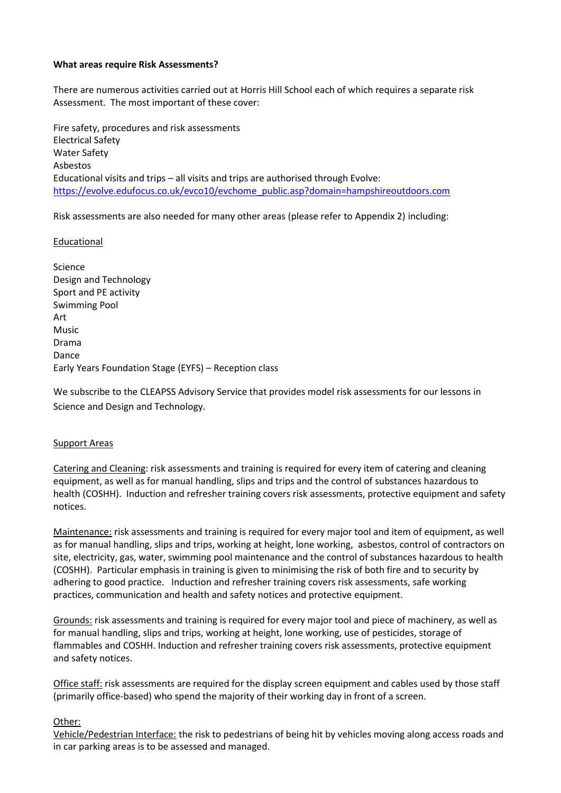### **What areas require Risk Assessments?**

There are numerous activities carried out at Horris Hill School each of which requires a separate risk Assessment. The most important of these cover:

Fire safety, procedures and risk assessments Electrical Safety Water Safety Asbestos Educational visits and trips – all visits and trips are authorised through Evolve: [https://evolve.edufocus.co.uk/evco10/evchome\\_public.asp?domain=hampshireoutdoors.com](https://evolve.edufocus.co.uk/evco10/evchome_public.asp?domain=hampshireoutdoors.com)

Risk assessments are also needed for many other areas (please refer to Appendix 2) including:

Educational

Science Design and Technology Sport and PE activity Swimming Pool Art Music Drama Dance Early Years Foundation Stage (EYFS) – Reception class

We subscribe to the CLEAPSS Advisory Service that provides model risk assessments for our lessons in Science and Design and Technology.

#### Support Areas

Catering and Cleaning: risk assessments and training is required for every item of catering and cleaning equipment, as well as for manual handling, slips and trips and the control of substances hazardous to health (COSHH). Induction and refresher training covers risk assessments, protective equipment and safety notices.

Maintenance: risk assessments and training is required for every major tool and item of equipment, as well as for manual handling, slips and trips, working at height, lone working, asbestos, control of contractors on site, electricity, gas, water, swimming pool maintenance and the control of substances hazardous to health (COSHH). Particular emphasis in training is given to minimising the risk of both fire and to security by adhering to good practice. Induction and refresher training covers risk assessments, safe working practices, communication and health and safety notices and protective equipment.

Grounds: risk assessments and training is required for every major tool and piece of machinery, as well as for manual handling, slips and trips, working at height, lone working, use of pesticides, storage of flammables and COSHH. Induction and refresher training covers risk assessments, protective equipment and safety notices.

Office staff: risk assessments are required for the display screen equipment and cables used by those staff (primarily office-based) who spend the majority of their working day in front of a screen.

#### Other:

Vehicle/Pedestrian Interface: the risk to pedestrians of being hit by vehicles moving along access roads and in car parking areas is to be assessed and managed.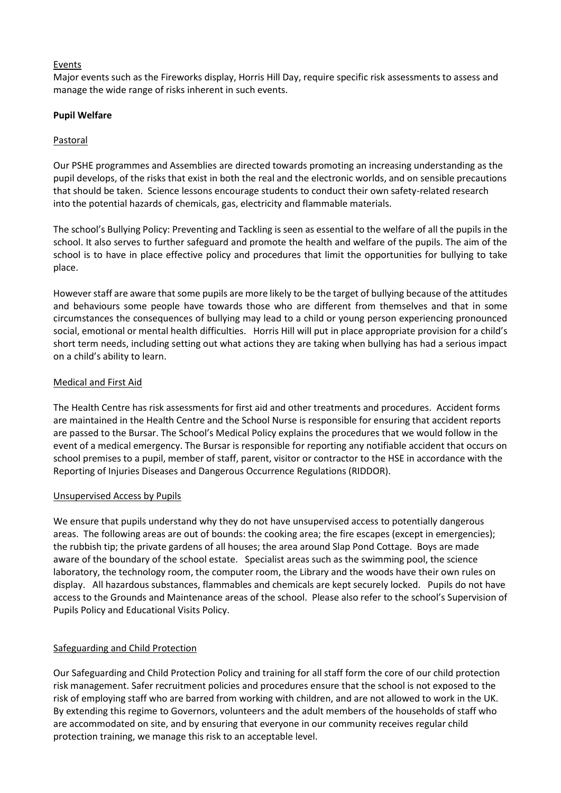# Events

Major events such as the Fireworks display, Horris Hill Day, require specific risk assessments to assess and manage the wide range of risks inherent in such events.

# **Pupil Welfare**

# Pastoral

Our PSHE programmes and Assemblies are directed towards promoting an increasing understanding as the pupil develops, of the risks that exist in both the real and the electronic worlds, and on sensible precautions that should be taken. Science lessons encourage students to conduct their own safety-related research into the potential hazards of chemicals, gas, electricity and flammable materials.

The school's Bullying Policy: Preventing and Tackling is seen as essential to the welfare of all the pupils in the school. It also serves to further safeguard and promote the health and welfare of the pupils. The aim of the school is to have in place effective policy and procedures that limit the opportunities for bullying to take place.

However staff are aware that some pupils are more likely to be the target of bullying because of the attitudes and behaviours some people have towards those who are different from themselves and that in some circumstances the consequences of bullying may lead to a child or young person experiencing pronounced social, emotional or mental health difficulties. Horris Hill will put in place appropriate provision for a child's short term needs, including setting out what actions they are taking when bullying has had a serious impact on a child's ability to learn.

# Medical and First Aid

The Health Centre has risk assessments for first aid and other treatments and procedures. Accident forms are maintained in the Health Centre and the School Nurse is responsible for ensuring that accident reports are passed to the Bursar. The School's Medical Policy explains the procedures that we would follow in the event of a medical emergency. The Bursar is responsible for reporting any notifiable accident that occurs on school premises to a pupil, member of staff, parent, visitor or contractor to the HSE in accordance with the Reporting of Injuries Diseases and Dangerous Occurrence Regulations (RIDDOR).

# Unsupervised Access by Pupils

We ensure that pupils understand why they do not have unsupervised access to potentially dangerous areas. The following areas are out of bounds: the cooking area; the fire escapes (except in emergencies); the rubbish tip; the private gardens of all houses; the area around Slap Pond Cottage. Boys are made aware of the boundary of the school estate. Specialist areas such as the swimming pool, the science laboratory, the technology room, the computer room, the Library and the woods have their own rules on display. All hazardous substances, flammables and chemicals are kept securely locked. Pupils do not have access to the Grounds and Maintenance areas of the school. Please also refer to the school's Supervision of Pupils Policy and Educational Visits Policy.

# Safeguarding and Child Protection

Our Safeguarding and Child Protection Policy and training for all staff form the core of our child protection risk management. Safer recruitment policies and procedures ensure that the school is not exposed to the risk of employing staff who are barred from working with children, and are not allowed to work in the UK. By extending this regime to Governors, volunteers and the adult members of the households of staff who are accommodated on site, and by ensuring that everyone in our community receives regular child protection training, we manage this risk to an acceptable level.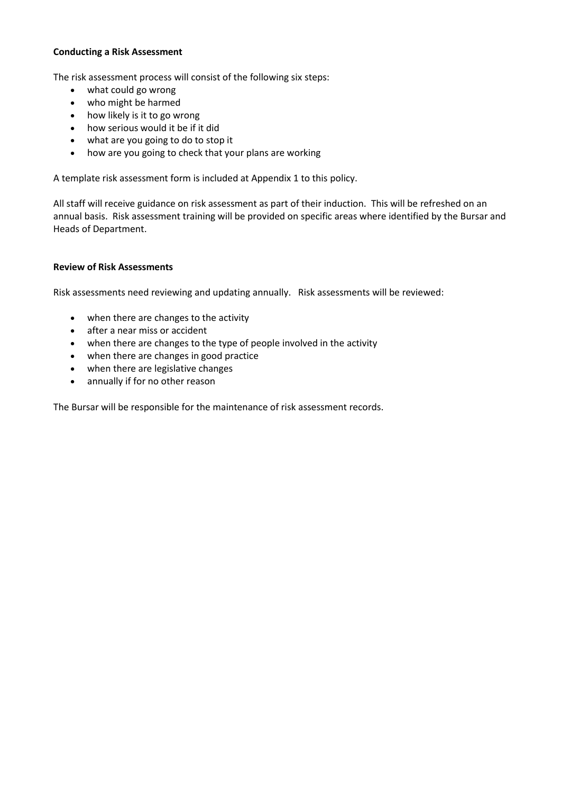## **Conducting a Risk Assessment**

The risk assessment process will consist of the following six steps:

- what could go wrong
- who might be harmed
- how likely is it to go wrong
- how serious would it be if it did
- what are you going to do to stop it
- how are you going to check that your plans are working

A template risk assessment form is included at Appendix 1 to this policy.

All staff will receive guidance on risk assessment as part of their induction. This will be refreshed on an annual basis. Risk assessment training will be provided on specific areas where identified by the Bursar and Heads of Department.

## **Review of Risk Assessments**

Risk assessments need reviewing and updating annually. Risk assessments will be reviewed:

- when there are changes to the activity
- after a near miss or accident
- when there are changes to the type of people involved in the activity
- when there are changes in good practice
- when there are legislative changes
- annually if for no other reason

The Bursar will be responsible for the maintenance of risk assessment records.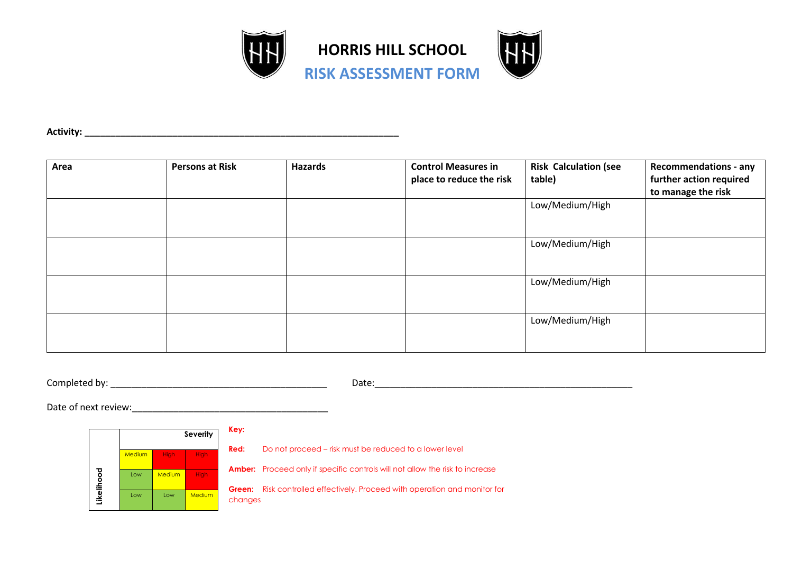

**Activity: \_\_\_\_\_\_\_\_\_\_\_\_\_\_\_\_\_\_\_\_\_\_\_\_\_\_\_\_\_\_\_\_\_\_\_\_\_\_\_\_\_\_\_\_\_\_\_\_\_\_\_\_\_\_\_\_\_\_\_\_\_**

| Area | <b>Persons at Risk</b> | <b>Hazards</b> | <b>Control Measures in</b><br>place to reduce the risk | <b>Risk Calculation (see</b><br>table) | <b>Recommendations - any</b><br>further action required<br>to manage the risk |
|------|------------------------|----------------|--------------------------------------------------------|----------------------------------------|-------------------------------------------------------------------------------|
|      |                        |                |                                                        | Low/Medium/High                        |                                                                               |
|      |                        |                |                                                        | Low/Medium/High                        |                                                                               |
|      |                        |                |                                                        | Low/Medium/High                        |                                                                               |
|      |                        |                |                                                        | Low/Medium/High                        |                                                                               |

Completed by: \_\_\_\_\_\_\_\_\_\_\_\_\_\_\_\_\_\_\_\_\_\_\_\_\_\_\_\_\_\_\_\_\_\_\_\_\_\_\_\_\_\_ Date:\_\_\_\_\_\_\_\_\_\_\_\_\_\_\_\_\_\_\_\_\_\_\_\_\_\_\_\_\_\_\_\_\_\_\_\_\_\_\_\_\_\_\_\_\_\_\_\_\_\_

Date of next review:



**Red:** Do not proceed – risk must be reduced to a lower level

**Amber:** Proceed only if specific controls will not allow the risk to increase

**Green:** Risk controlled effectively. Proceed with operation and monitor for changes